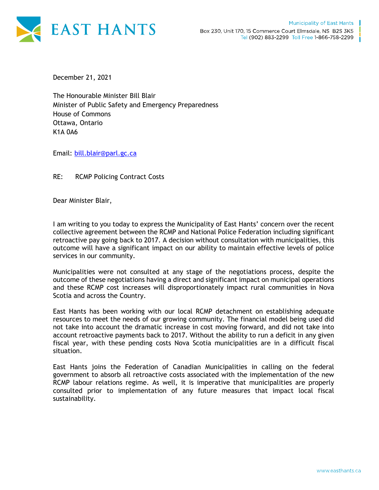

December 21, 2021

The Honourable Minister Bill Blair Minister of Public Safety and Emergency Preparedness House of Commons Ottawa, Ontario K1A 0A6

Email: [bill.blair@parl.gc.ca](mailto:bill.blair@parl.gc.ca)

RE: RCMP Policing Contract Costs

Dear Minister Blair,

I am writing to you today to express the Municipality of East Hants' concern over the recent collective agreement between the RCMP and National Police Federation including significant retroactive pay going back to 2017. A decision without consultation with municipalities, this outcome will have a significant impact on our ability to maintain effective levels of police services in our community.

Municipalities were not consulted at any stage of the negotiations process, despite the outcome of these negotiations having a direct and significant impact on municipal operations and these RCMP cost increases will disproportionately impact rural communities in Nova Scotia and across the Country.

East Hants has been working with our local RCMP detachment on establishing adequate resources to meet the needs of our growing community. The financial model being used did not take into account the dramatic increase in cost moving forward, and did not take into account retroactive payments back to 2017. Without the ability to run a deficit in any given fiscal year, with these pending costs Nova Scotia municipalities are in a difficult fiscal situation.

East Hants joins the Federation of Canadian Municipalities in calling on the federal government to absorb all retroactive costs associated with the implementation of the new RCMP labour relations regime. As well, it is imperative that municipalities are properly consulted prior to implementation of any future measures that impact local fiscal sustainability.